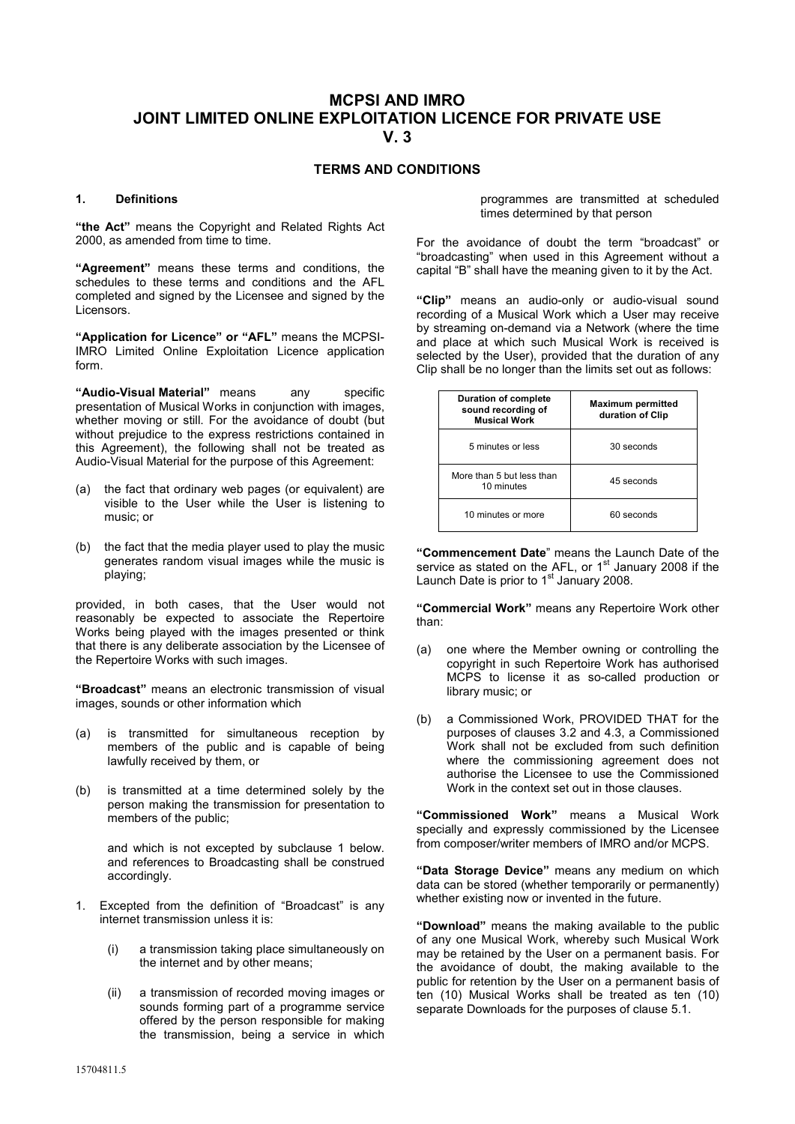## **MCPSI AND IMRO JOINT LIMITED ONLINE EXPLOITATION LICENCE FOR PRIVATE USE V. 3**

### **TERMS AND CONDITIONS**

#### **1. Definitions**

**"the Act"** means the Copyright and Related Rights Act 2000, as amended from time to time.

**"Agreement"** means these terms and conditions, the schedules to these terms and conditions and the AFL completed and signed by the Licensee and signed by the Licensors.

**"Application for Licence" or "AFL"** means the MCPSI-IMRO Limited Online Exploitation Licence application form.

**"Audio-Visual Material"** means any specific presentation of Musical Works in conjunction with images, whether moving or still. For the avoidance of doubt (but without prejudice to the express restrictions contained in this Agreement), the following shall not be treated as Audio-Visual Material for the purpose of this Agreement:

- (a) the fact that ordinary web pages (or equivalent) are visible to the User while the User is listening to music; or
- (b) the fact that the media player used to play the music generates random visual images while the music is playing;

provided, in both cases, that the User would not reasonably be expected to associate the Repertoire Works being played with the images presented or think that there is any deliberate association by the Licensee of the Repertoire Works with such images.

**"Broadcast"** means an electronic transmission of visual images, sounds or other information which

- (a) is transmitted for simultaneous reception by members of the public and is capable of being lawfully received by them, or
- (b) is transmitted at a time determined solely by the person making the transmission for presentation to members of the public;

and which is not excepted by subclause 1 below. and references to Broadcasting shall be construed accordingly.

- 1. Excepted from the definition of "Broadcast" is any internet transmission unless it is:
	- (i) a transmission taking place simultaneously on the internet and by other means;
	- (ii) a transmission of recorded moving images or sounds forming part of a programme service offered by the person responsible for making the transmission, being a service in which

programmes are transmitted at scheduled times determined by that person

For the avoidance of doubt the term "broadcast" or "broadcasting" when used in this Agreement without a capital "B" shall have the meaning given to it by the Act.

**"Clip"** means an audio-only or audio-visual sound recording of a Musical Work which a User may receive by streaming on-demand via a Network (where the time and place at which such Musical Work is received is selected by the User), provided that the duration of any Clip shall be no longer than the limits set out as follows:

| <b>Duration of complete</b><br>sound recording of<br><b>Musical Work</b> | <b>Maximum permitted</b><br>duration of Clip |
|--------------------------------------------------------------------------|----------------------------------------------|
| 5 minutes or less                                                        | 30 seconds                                   |
| More than 5 but less than<br>10 minutes                                  | 45 seconds                                   |
| 10 minutes or more                                                       | 60 seconds                                   |

**"Commencement Date**" means the Launch Date of the service as stated on the AFL, or  $1<sup>st</sup>$  January 2008 if the Launch Date is prior to  $1<sup>st</sup>$  January 2008.

**"Commercial Work"** means any Repertoire Work other than:

- (a) one where the Member owning or controlling the copyright in such Repertoire Work has authorised MCPS to license it as so-called production or library music; or
- (b) a Commissioned Work, PROVIDED THAT for the purposes of clauses 3.2 and 4.3, a Commissioned Work shall not be excluded from such definition where the commissioning agreement does not authorise the Licensee to use the Commissioned Work in the context set out in those clauses.

**"Commissioned Work"** means a Musical Work specially and expressly commissioned by the Licensee from composer/writer members of IMRO and/or MCPS.

**"Data Storage Device"** means any medium on which data can be stored (whether temporarily or permanently) whether existing now or invented in the future.

**"Download"** means the making available to the public of any one Musical Work, whereby such Musical Work may be retained by the User on a permanent basis. For the avoidance of doubt, the making available to the public for retention by the User on a permanent basis of ten (10) Musical Works shall be treated as ten (10) separate Downloads for the purposes of clause 5.1.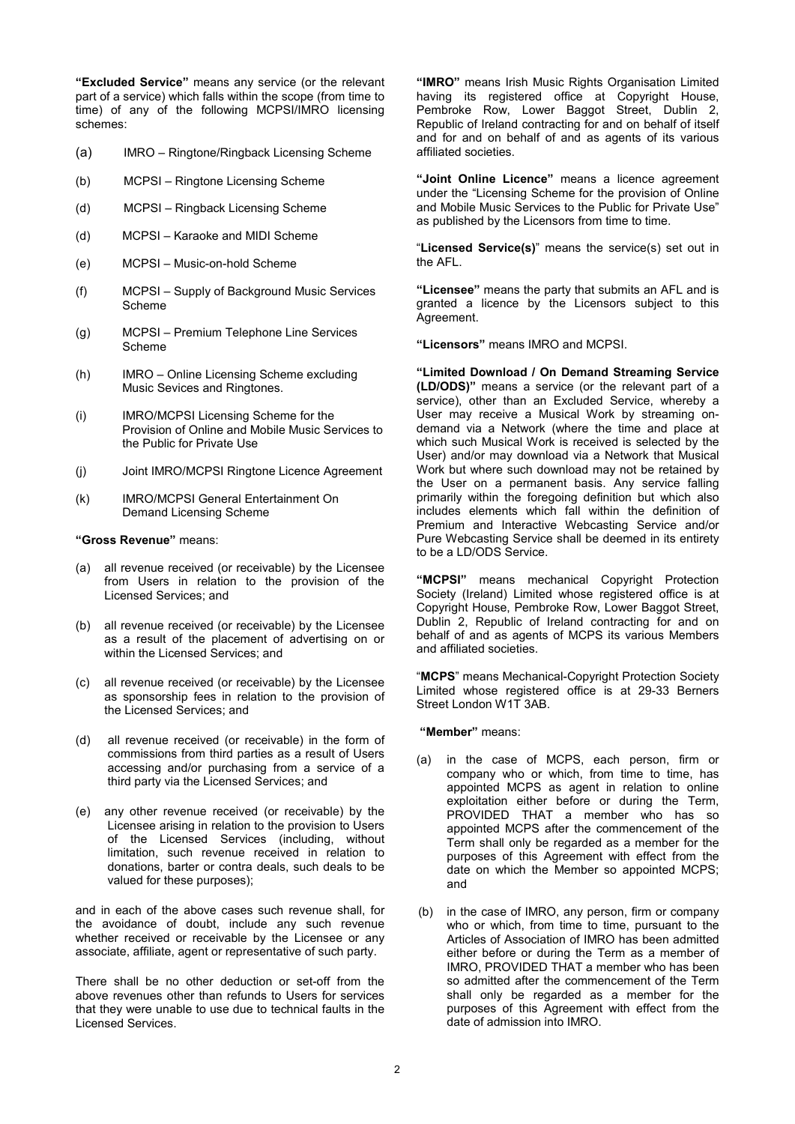**"Excluded Service"** means any service (or the relevant part of a service) which falls within the scope (from time to time) of any of the following MCPSI/IMRO licensing schemes:

- (a) IMRO Ringtone/Ringback Licensing Scheme
- (b) MCPSI Ringtone Licensing Scheme
- (d) MCPSI Ringback Licensing Scheme
- (d) MCPSI Karaoke and MIDI Scheme
- (e) MCPSI Music-on-hold Scheme
- (f) MCPSI Supply of Background Music Services Scheme
- (g) MCPSI Premium Telephone Line Services Scheme
- (h) IMRO Online Licensing Scheme excluding Music Sevices and Ringtones.
- (i) IMRO/MCPSI Licensing Scheme for the Provision of Online and Mobile Music Services to the Public for Private Use
- (j) Joint IMRO/MCPSI Ringtone Licence Agreement
- (k) IMRO/MCPSI General Entertainment On Demand Licensing Scheme

#### **"Gross Revenue"** means:

- (a) all revenue received (or receivable) by the Licensee from Users in relation to the provision of the Licensed Services; and
- (b) all revenue received (or receivable) by the Licensee as a result of the placement of advertising on or within the Licensed Services; and
- (c) all revenue received (or receivable) by the Licensee as sponsorship fees in relation to the provision of the Licensed Services; and
- (d) all revenue received (or receivable) in the form of commissions from third parties as a result of Users accessing and/or purchasing from a service of a third party via the Licensed Services; and
- (e) any other revenue received (or receivable) by the Licensee arising in relation to the provision to Users of the Licensed Services (including, without limitation, such revenue received in relation to donations, barter or contra deals, such deals to be valued for these purposes);

and in each of the above cases such revenue shall, for the avoidance of doubt, include any such revenue whether received or receivable by the Licensee or any associate, affiliate, agent or representative of such party.

There shall be no other deduction or set-off from the above revenues other than refunds to Users for services that they were unable to use due to technical faults in the Licensed Services.

**"IMRO"** means Irish Music Rights Organisation Limited having its registered office at Copyright House, Pembroke Row, Lower Baggot Street, Dublin 2, Republic of Ireland contracting for and on behalf of itself and for and on behalf of and as agents of its various affiliated societies.

**"Joint Online Licence"** means a licence agreement under the "Licensing Scheme for the provision of Online and Mobile Music Services to the Public for Private Use" as published by the Licensors from time to time.

"**Licensed Service(s)**" means the service(s) set out in the AFL.

**"Licensee"** means the party that submits an AFL and is granted a licence by the Licensors subject to this Agreement.

**"Licensors"** means IMRO and MCPSI.

**"Limited Download / On Demand Streaming Service (LD/ODS)"** means a service (or the relevant part of a service), other than an Excluded Service, whereby a User may receive a Musical Work by streaming ondemand via a Network (where the time and place at which such Musical Work is received is selected by the User) and/or may download via a Network that Musical Work but where such download may not be retained by the User on a permanent basis. Any service falling primarily within the foregoing definition but which also includes elements which fall within the definition of Premium and Interactive Webcasting Service and/or Pure Webcasting Service shall be deemed in its entirety to be a LD/ODS Service.

**"MCPSI"** means mechanical Copyright Protection Society (Ireland) Limited whose registered office is at Copyright House, Pembroke Row, Lower Baggot Street, Dublin 2, Republic of Ireland contracting for and on behalf of and as agents of MCPS its various Members and affiliated societies.

"**MCPS**" means Mechanical-Copyright Protection Society Limited whose registered office is at 29-33 Berners Street London W1T 3AB.

 **"Member"** means:

- (a) in the case of MCPS, each person, firm or company who or which, from time to time, has appointed MCPS as agent in relation to online exploitation either before or during the Term, PROVIDED THAT a member who has so appointed MCPS after the commencement of the Term shall only be regarded as a member for the purposes of this Agreement with effect from the date on which the Member so appointed MCPS; and
- (b) in the case of IMRO, any person, firm or company who or which, from time to time, pursuant to the Articles of Association of IMRO has been admitted either before or during the Term as a member of IMRO, PROVIDED THAT a member who has been so admitted after the commencement of the Term shall only be regarded as a member for the purposes of this Agreement with effect from the date of admission into IMRO.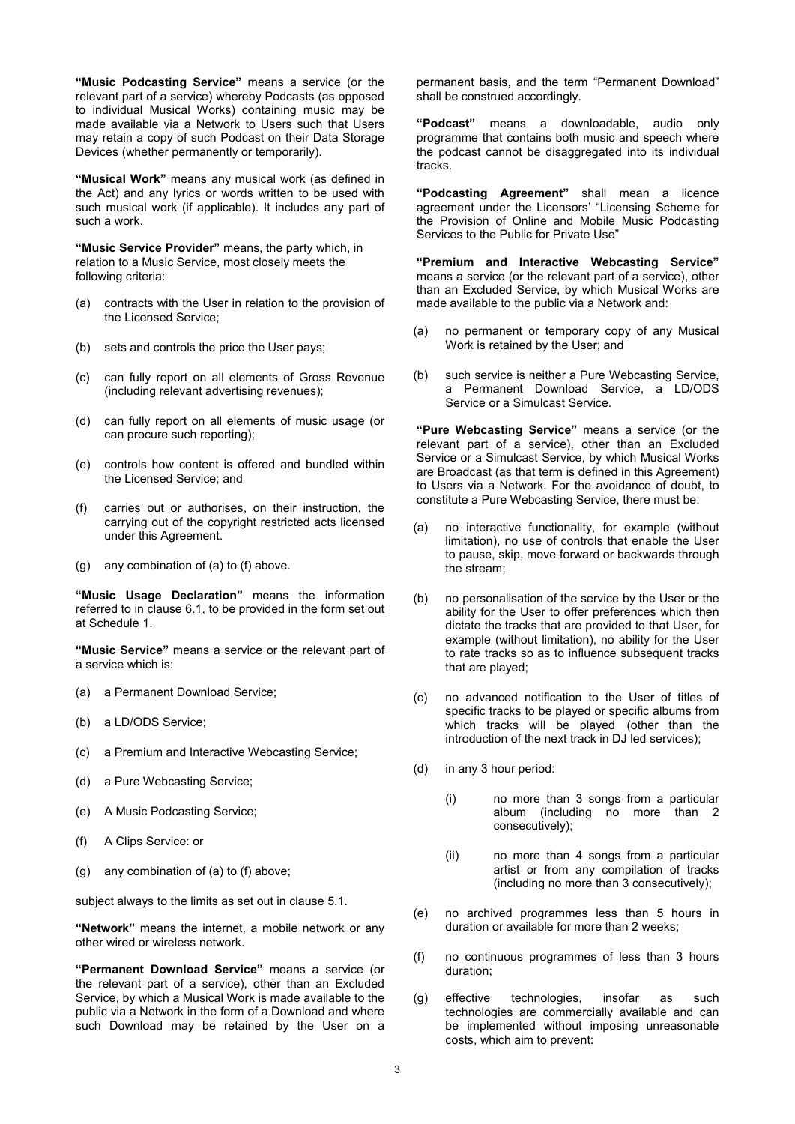**"Music Podcasting Service"** means a service (or the relevant part of a service) whereby Podcasts (as opposed to individual Musical Works) containing music may be made available via a Network to Users such that Users may retain a copy of such Podcast on their Data Storage Devices (whether permanently or temporarily).

**"Musical Work"** means any musical work (as defined in the Act) and any lyrics or words written to be used with such musical work (if applicable). It includes any part of such a work.

**"Music Service Provider"** means, the party which, in relation to a Music Service, most closely meets the following criteria:

- (a) contracts with the User in relation to the provision of the Licensed Service;
- (b) sets and controls the price the User pays;
- (c) can fully report on all elements of Gross Revenue (including relevant advertising revenues);
- (d) can fully report on all elements of music usage (or can procure such reporting);
- (e) controls how content is offered and bundled within the Licensed Service; and
- (f) carries out or authorises, on their instruction, the carrying out of the copyright restricted acts licensed under this Agreement.
- (g) any combination of (a) to (f) above.

**"Music Usage Declaration"** means the information referred to in clause 6.1, to be provided in the form set out at Schedule 1.

**"Music Service"** means a service or the relevant part of a service which is:

- (a) a Permanent Download Service;
- (b) a LD/ODS Service;
- (c) a Premium and Interactive Webcasting Service;
- (d) a Pure Webcasting Service;
- (e) A Music Podcasting Service;
- (f) A Clips Service: or
- (g) any combination of (a) to (f) above;

subject always to the limits as set out in clause 5.1.

**"Network"** means the internet, a mobile network or any other wired or wireless network.

**"Permanent Download Service"** means a service (or the relevant part of a service), other than an Excluded Service, by which a Musical Work is made available to the public via a Network in the form of a Download and where such Download may be retained by the User on a permanent basis, and the term "Permanent Download" shall be construed accordingly.

**"Podcast"** means a downloadable, audio only programme that contains both music and speech where the podcast cannot be disaggregated into its individual tracks.

**"Podcasting Agreement"** shall mean a licence agreement under the Licensors' "Licensing Scheme for the Provision of Online and Mobile Music Podcasting Services to the Public for Private Use"

**"Premium and Interactive Webcasting Service"**  means a service (or the relevant part of a service), other than an Excluded Service, by which Musical Works are made available to the public via a Network and:

- (a) no permanent or temporary copy of any Musical Work is retained by the User; and
- (b) such service is neither a Pure Webcasting Service, a Permanent Download Service, a LD/ODS Service or a Simulcast Service.

**"Pure Webcasting Service"** means a service (or the relevant part of a service), other than an Excluded Service or a Simulcast Service, by which Musical Works are Broadcast (as that term is defined in this Agreement) to Users via a Network. For the avoidance of doubt, to constitute a Pure Webcasting Service, there must be:

- (a) no interactive functionality, for example (without limitation), no use of controls that enable the User to pause, skip, move forward or backwards through the stream;
- (b) no personalisation of the service by the User or the ability for the User to offer preferences which then dictate the tracks that are provided to that User, for example (without limitation), no ability for the User to rate tracks so as to influence subsequent tracks that are played;
- (c) no advanced notification to the User of titles of specific tracks to be played or specific albums from which tracks will be played (other than the introduction of the next track in DJ led services);
- (d) in any 3 hour period:
	- (i) no more than 3 songs from a particular album (including no more than 2 consecutively);
	- (ii) no more than 4 songs from a particular artist or from any compilation of tracks (including no more than 3 consecutively);
- (e) no archived programmes less than 5 hours in duration or available for more than 2 weeks;
- (f) no continuous programmes of less than 3 hours duration;
- (g) effective technologies, insofar as such technologies are commercially available and can be implemented without imposing unreasonable costs, which aim to prevent: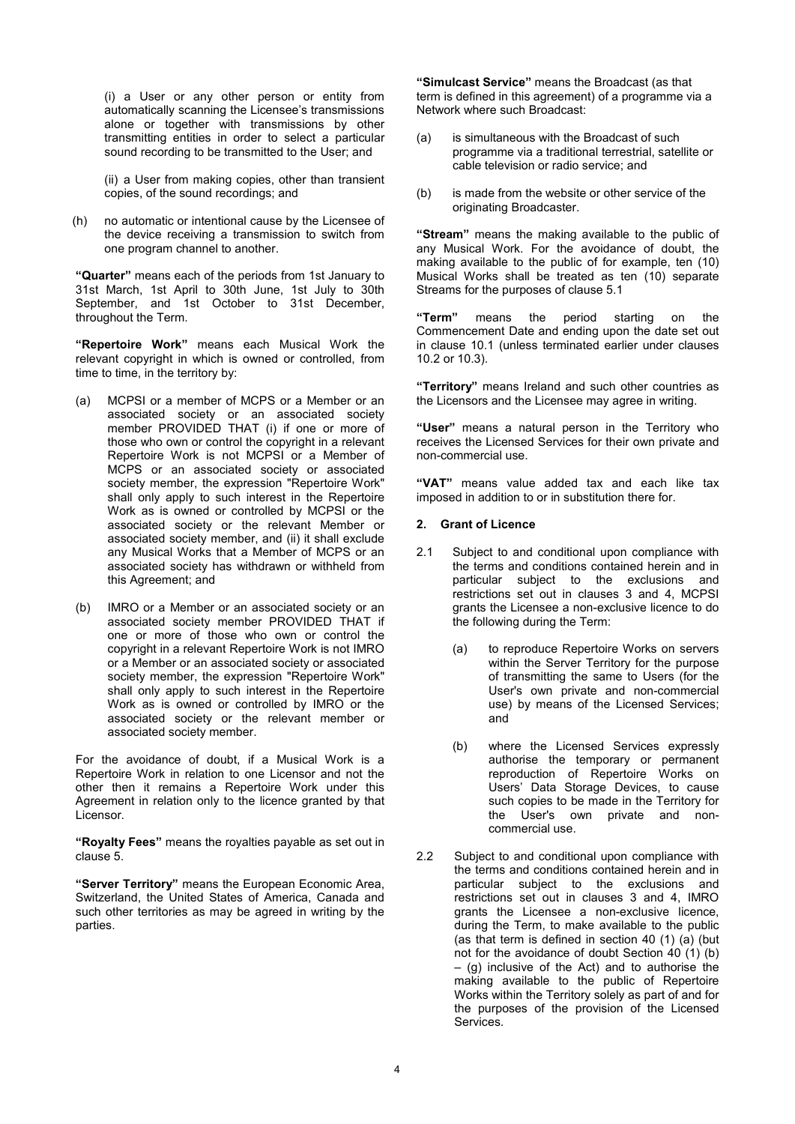(i) a User or any other person or entity from automatically scanning the Licensee's transmissions alone or together with transmissions by other transmitting entities in order to select a particular sound recording to be transmitted to the User; and

(ii) a User from making copies, other than transient copies, of the sound recordings; and

(h) no automatic or intentional cause by the Licensee of the device receiving a transmission to switch from one program channel to another.

**"Quarter"** means each of the periods from 1st January to 31st March, 1st April to 30th June, 1st July to 30th September, and 1st October to 31st December, throughout the Term.

**"Repertoire Work"** means each Musical Work the relevant copyright in which is owned or controlled, from time to time, in the territory by:

- (a) MCPSI or a member of MCPS or a Member or an associated society or an associated society member PROVIDED THAT (i) if one or more of those who own or control the copyright in a relevant Repertoire Work is not MCPSI or a Member of MCPS or an associated society or associated society member, the expression "Repertoire Work" shall only apply to such interest in the Repertoire Work as is owned or controlled by MCPSI or the associated society or the relevant Member or associated society member, and (ii) it shall exclude any Musical Works that a Member of MCPS or an associated society has withdrawn or withheld from this Agreement; and
- (b) IMRO or a Member or an associated society or an associated society member PROVIDED THAT if one or more of those who own or control the copyright in a relevant Repertoire Work is not IMRO or a Member or an associated society or associated society member, the expression "Repertoire Work" shall only apply to such interest in the Repertoire Work as is owned or controlled by IMRO or the associated society or the relevant member or associated society member.

For the avoidance of doubt, if a Musical Work is a Repertoire Work in relation to one Licensor and not the other then it remains a Repertoire Work under this Agreement in relation only to the licence granted by that Licensor.

**"Royalty Fees"** means the royalties payable as set out in clause 5.

**"Server Territory"** means the European Economic Area, Switzerland, the United States of America, Canada and such other territories as may be agreed in writing by the parties.

**"Simulcast Service"** means the Broadcast (as that term is defined in this agreement) of a programme via a Network where such Broadcast:

- (a) is simultaneous with the Broadcast of such programme via a traditional terrestrial, satellite or cable television or radio service; and
- (b) is made from the website or other service of the originating Broadcaster.

**"Stream"** means the making available to the public of any Musical Work. For the avoidance of doubt, the making available to the public of for example, ten (10) Musical Works shall be treated as ten (10) separate Streams for the purposes of clause 5.1

**"Term"** means the period starting on the Commencement Date and ending upon the date set out in clause 10.1 (unless terminated earlier under clauses 10.2 or 10.3).

**"Territory"** means Ireland and such other countries as the Licensors and the Licensee may agree in writing.

**"User"** means a natural person in the Territory who receives the Licensed Services for their own private and non-commercial use.

**"VAT"** means value added tax and each like tax imposed in addition to or in substitution there for.

### **2. Grant of Licence**

- 2.1 Subject to and conditional upon compliance with the terms and conditions contained herein and in particular subject to the exclusions and restrictions set out in clauses 3 and 4, MCPSI grants the Licensee a non-exclusive licence to do the following during the Term:
	- (a) to reproduce Repertoire Works on servers within the Server Territory for the purpose of transmitting the same to Users (for the User's own private and non-commercial use) by means of the Licensed Services; and
	- (b) where the Licensed Services expressly authorise the temporary or permanent reproduction of Repertoire Works on Users' Data Storage Devices, to cause such copies to be made in the Territory for the User's own private and noncommercial use.
- 2.2 Subject to and conditional upon compliance with the terms and conditions contained herein and in particular subject to the exclusions and restrictions set out in clauses 3 and 4, IMRO grants the Licensee a non-exclusive licence, during the Term, to make available to the public (as that term is defined in section 40 (1) (a) (but not for the avoidance of doubt Section 40 (1) (b) – (g) inclusive of the Act) and to authorise the making available to the public of Repertoire Works within the Territory solely as part of and for the purposes of the provision of the Licensed Services.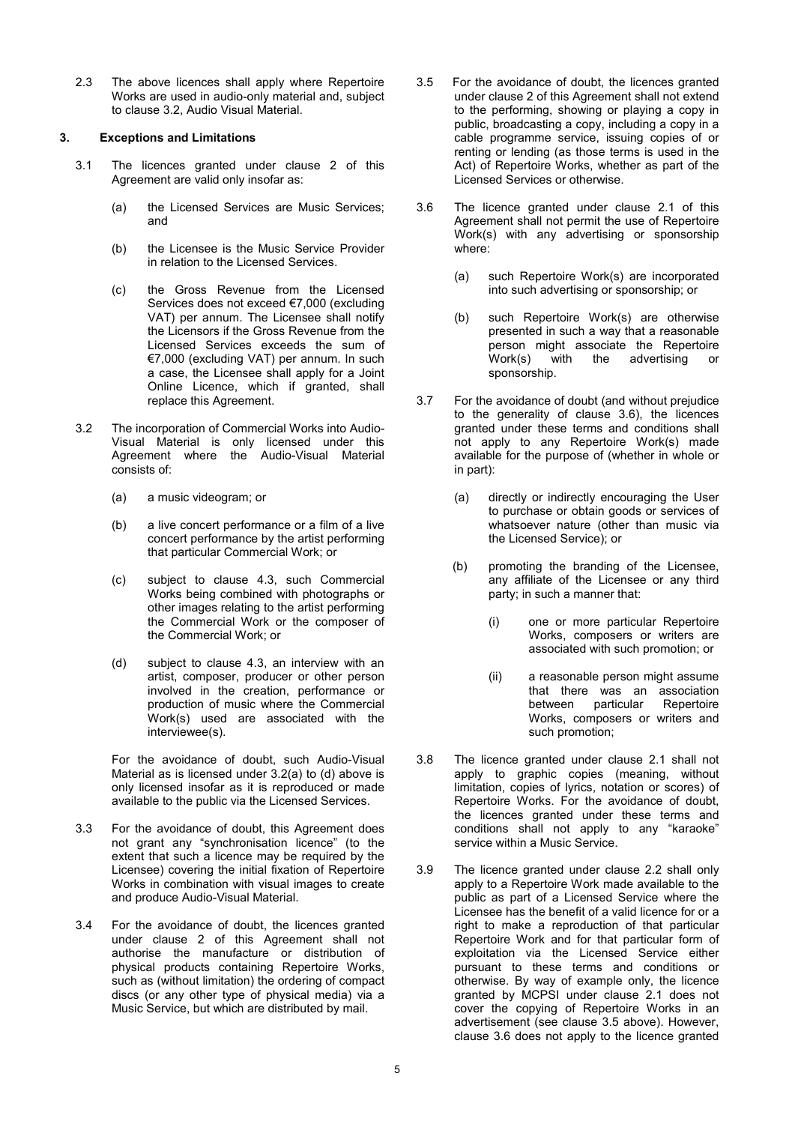2.3 The above licences shall apply where Repertoire Works are used in audio-only material and, subject to clause 3.2, Audio Visual Material.

### **3. Exceptions and Limitations**

- 3.1 The licences granted under clause 2 of this Agreement are valid only insofar as:
	- (a) the Licensed Services are Music Services; and
	- (b) the Licensee is the Music Service Provider in relation to the Licensed Services.
	- (c) the Gross Revenue from the Licensed Services does not exceed €7,000 (excluding VAT) per annum. The Licensee shall notify the Licensors if the Gross Revenue from the Licensed Services exceeds the sum of €7,000 (excluding VAT) per annum. In such a case, the Licensee shall apply for a Joint Online Licence, which if granted, shall replace this Agreement.
- 3.2 The incorporation of Commercial Works into Audio-Visual Material is only licensed under this Agreement where the Audio-Visual Material consists of:
	- (a) a music videogram; or
	- (b) a live concert performance or a film of a live concert performance by the artist performing that particular Commercial Work; or
	- (c) subject to clause 4.3, such Commercial Works being combined with photographs or other images relating to the artist performing the Commercial Work or the composer of the Commercial Work; or
	- (d) subject to clause 4.3, an interview with an artist, composer, producer or other person involved in the creation, performance or production of music where the Commercial Work(s) used are associated with the interviewee(s).

 For the avoidance of doubt, such Audio-Visual Material as is licensed under 3.2(a) to (d) above is only licensed insofar as it is reproduced or made available to the public via the Licensed Services.

- 3.3 For the avoidance of doubt, this Agreement does not grant any "synchronisation licence" (to the extent that such a licence may be required by the Licensee) covering the initial fixation of Repertoire Works in combination with visual images to create and produce Audio-Visual Material.
- 3.4 For the avoidance of doubt, the licences granted under clause 2 of this Agreement shall not authorise the manufacture or distribution of physical products containing Repertoire Works, such as (without limitation) the ordering of compact discs (or any other type of physical media) via a Music Service, but which are distributed by mail.
- 3.5 For the avoidance of doubt, the licences granted under clause 2 of this Agreement shall not extend to the performing, showing or playing a copy in public, broadcasting a copy, including a copy in a cable programme service, issuing copies of or renting or lending (as those terms is used in the Act) of Repertoire Works, whether as part of the Licensed Services or otherwise.
- 3.6 The licence granted under clause 2.1 of this Agreement shall not permit the use of Repertoire Work(s) with any advertising or sponsorship where:
	- (a) such Repertoire Work(s) are incorporated into such advertising or sponsorship; or
	- (b) such Repertoire Work(s) are otherwise presented in such a way that a reasonable person might associate the Repertoire Work(s) with the advertising or sponsorship.
- 3.7 For the avoidance of doubt (and without prejudice to the generality of clause 3.6), the licences granted under these terms and conditions shall not apply to any Repertoire Work(s) made available for the purpose of (whether in whole or in part):
	- (a) directly or indirectly encouraging the User to purchase or obtain goods or services of whatsoever nature (other than music via the Licensed Service); or
	- (b) promoting the branding of the Licensee, any affiliate of the Licensee or any third party; in such a manner that:
		- (i) one or more particular Repertoire Works, composers or writers are associated with such promotion; or
		- (ii) a reasonable person might assume that there was an association between particular Repertoire Works, composers or writers and such promotion;
- 3.8 The licence granted under clause 2.1 shall not apply to graphic copies (meaning, without limitation, copies of lyrics, notation or scores) of Repertoire Works. For the avoidance of doubt, the licences granted under these terms and conditions shall not apply to any "karaoke" service within a Music Service.
- 3.9 The licence granted under clause 2.2 shall only apply to a Repertoire Work made available to the public as part of a Licensed Service where the Licensee has the benefit of a valid licence for or a right to make a reproduction of that particular Repertoire Work and for that particular form of exploitation via the Licensed Service either pursuant to these terms and conditions or otherwise. By way of example only, the licence granted by MCPSI under clause 2.1 does not cover the copying of Repertoire Works in an advertisement (see clause 3.5 above). However, clause 3.6 does not apply to the licence granted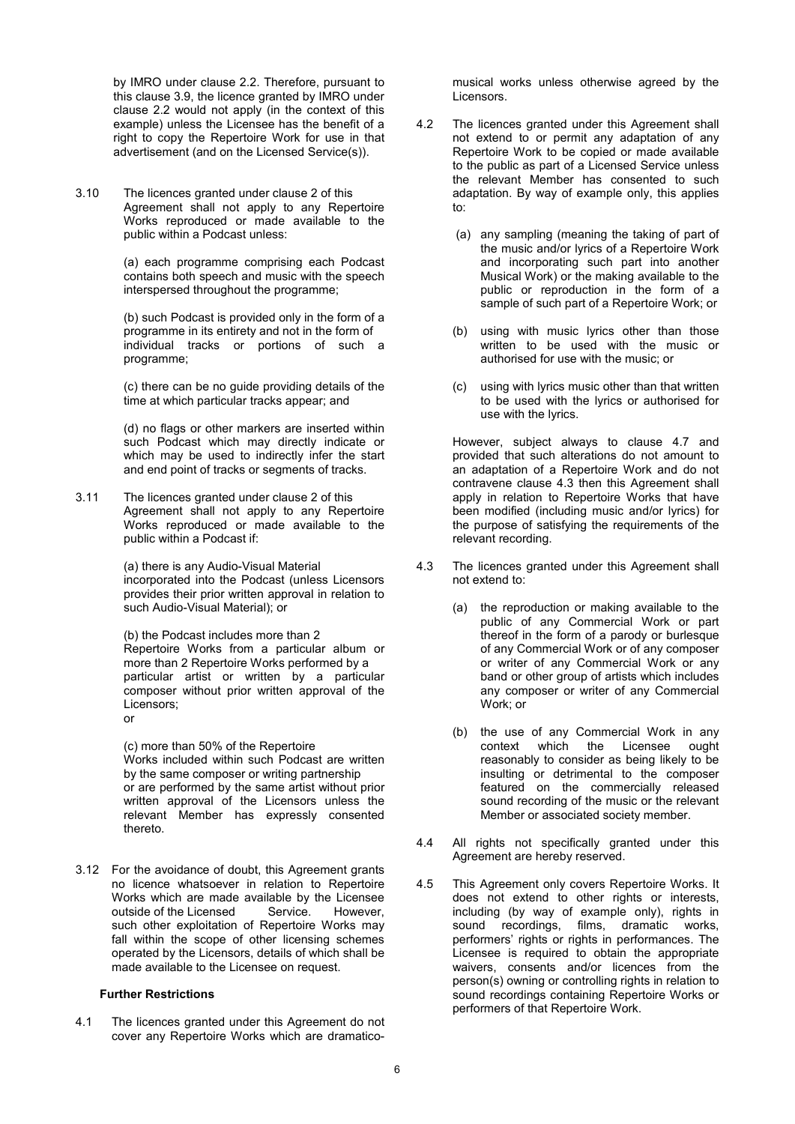by IMRO under clause 2.2. Therefore, pursuant to this clause 3.9, the licence granted by IMRO under clause 2.2 would not apply (in the context of this example) unless the Licensee has the benefit of a right to copy the Repertoire Work for use in that advertisement (and on the Licensed Service(s)).

3.10 The licences granted under clause 2 of this Agreement shall not apply to any Repertoire Works reproduced or made available to the public within a Podcast unless:

> (a) each programme comprising each Podcast contains both speech and music with the speech interspersed throughout the programme;

> (b) such Podcast is provided only in the form of a programme in its entirety and not in the form of individual tracks or portions of such a programme;

> (c) there can be no guide providing details of the time at which particular tracks appear; and

> (d) no flags or other markers are inserted within such Podcast which may directly indicate or which may be used to indirectly infer the start and end point of tracks or segments of tracks.

3.11 The licences granted under clause 2 of this Agreement shall not apply to any Repertoire Works reproduced or made available to the public within a Podcast if:

> (a) there is any Audio-Visual Material incorporated into the Podcast (unless Licensors provides their prior written approval in relation to such Audio-Visual Material); or

> (b) the Podcast includes more than 2 Repertoire Works from a particular album or more than 2 Repertoire Works performed by a particular artist or written by a particular composer without prior written approval of the Licensors; or

> (c) more than 50% of the Repertoire Works included within such Podcast are written by the same composer or writing partnership or are performed by the same artist without prior written approval of the Licensors unless the relevant Member has expressly consented thereto.

3.12 For the avoidance of doubt, this Agreement grants no licence whatsoever in relation to Repertoire Works which are made available by the Licensee<br>outside of the Licensed Service. However, outside of the Licensed such other exploitation of Repertoire Works may fall within the scope of other licensing schemes operated by the Licensors, details of which shall be made available to the Licensee on request.

### **Further Restrictions**

4.1 The licences granted under this Agreement do not cover any Repertoire Works which are dramatico-

musical works unless otherwise agreed by the Licensors.

- 4.2 The licences granted under this Agreement shall not extend to or permit any adaptation of any Repertoire Work to be copied or made available to the public as part of a Licensed Service unless the relevant Member has consented to such adaptation. By way of example only, this applies to:
	- (a) any sampling (meaning the taking of part of the music and/or lyrics of a Repertoire Work and incorporating such part into another Musical Work) or the making available to the public or reproduction in the form of a sample of such part of a Repertoire Work; or
	- (b) using with music lyrics other than those written to be used with the music or authorised for use with the music; or
	- (c) using with lyrics music other than that written to be used with the lyrics or authorised for use with the lyrics.

However, subject always to clause 4.7 and provided that such alterations do not amount to an adaptation of a Repertoire Work and do not contravene clause 4.3 then this Agreement shall apply in relation to Repertoire Works that have been modified (including music and/or lyrics) for the purpose of satisfying the requirements of the relevant recording.

- 4.3 The licences granted under this Agreement shall not extend to:
	- (a) the reproduction or making available to the public of any Commercial Work or part thereof in the form of a parody or burlesque of any Commercial Work or of any composer or writer of any Commercial Work or any band or other group of artists which includes any composer or writer of any Commercial Work; or
	- (b) the use of any Commercial Work in any context which the Licensee ought reasonably to consider as being likely to be insulting or detrimental to the composer featured on the commercially released sound recording of the music or the relevant Member or associated society member.
- 4.4 All rights not specifically granted under this Agreement are hereby reserved.
- 4.5 This Agreement only covers Repertoire Works. It does not extend to other rights or interests, including (by way of example only), rights in sound recordings, films, dramatic works, performers' rights or rights in performances. The Licensee is required to obtain the appropriate waivers, consents and/or licences from the person(s) owning or controlling rights in relation to sound recordings containing Repertoire Works or performers of that Repertoire Work.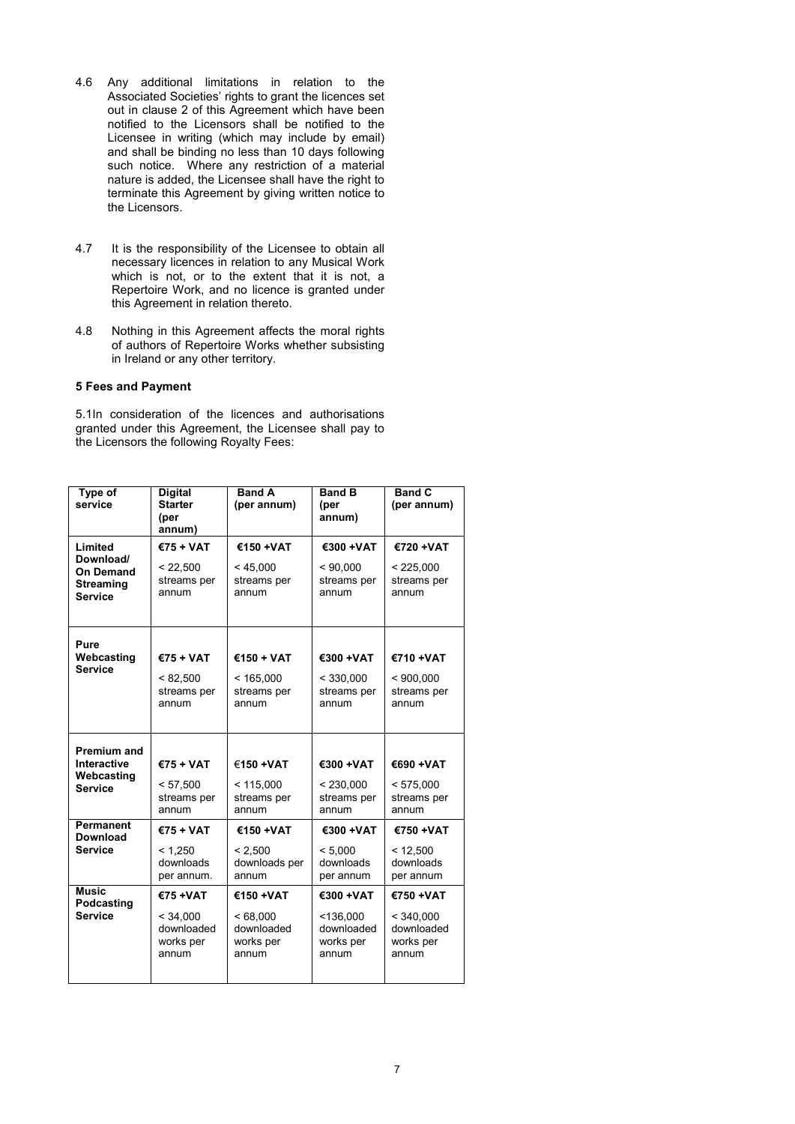- 4.6 Any additional limitations in relation to the Associated Societies' rights to grant the licences set out in clause 2 of this Agreement which have been notified to the Licensors shall be notified to the Licensee in writing (which may include by email) and shall be binding no less than 10 days following such notice. Where any restriction of a material nature is added, the Licensee shall have the right to terminate this Agreement by giving written notice to the Licensors.
- 4.7 It is the responsibility of the Licensee to obtain all necessary licences in relation to any Musical Work which is not, or to the extent that it is not, a Repertoire Work, and no licence is granted under this Agreement in relation thereto.
- 4.8 Nothing in this Agreement affects the moral rights of authors of Repertoire Works whether subsisting in Ireland or any other territory.

#### **5 Fees and Payment**

5.1In consideration of the licences and authorisations granted under this Agreement, the Licensee shall pay to the Licensors the following Royalty Fees:

| Type of<br>service                                           | <b>Digital</b><br><b>Starter</b><br>(per<br>annum) | <b>Band A</b><br>(per annum)                 | <b>Band B</b><br>(per<br>annum)               | <b>Band C</b><br>(per annum)                  |
|--------------------------------------------------------------|----------------------------------------------------|----------------------------------------------|-----------------------------------------------|-----------------------------------------------|
| Limited                                                      | €75 + VAT                                          | €150 + VAT                                   | €300 + VAT                                    | €720 + VAT                                    |
| Download/<br>On Demand<br><b>Streaming</b><br><b>Service</b> | < 22,500<br>streams per<br>annum                   | < 45,000<br>streams per<br>annum             | < 90,000<br>streams per<br>annum              | < 225,000<br>streams per<br>annum             |
| Pure                                                         |                                                    |                                              |                                               |                                               |
| Webcasting                                                   | $€75 + VAT$                                        | €150 + VAT                                   | €300 + VAT                                    | €710 + VAT                                    |
| <b>Service</b>                                               | < 82,500<br>streams per<br>annum                   | < 165,000<br>streams per<br>annum            | < 330,000<br>streams per<br>annum             | < 900,000<br>streams per<br>annum             |
| Premium and                                                  |                                                    |                                              |                                               |                                               |
| Interactive                                                  | €75 + VAT                                          | €150 + VAT                                   | €300 + VAT                                    | €690 + VAT                                    |
| Webcasting<br><b>Service</b>                                 | < 57,500<br>streams per<br>annum                   | < 115,000<br>streams per<br>annum            | < 230,000<br>streams per<br>annum             | < 575,000<br>streams per<br>annum             |
| <b>Permanent</b><br><b>Download</b>                          | $€75 + VAT$                                        | €150 + VAT                                   | €300 + VAT                                    | €750 + VAT                                    |
| <b>Service</b>                                               | < 1.250<br>downloads<br>per annum.                 | < 2,500<br>downloads per<br>annum            | < 5.000<br>downloads<br>per annum             | < 12,500<br>downloads<br>per annum            |
| <b>Music</b><br>Podcasting<br><b>Service</b>                 | €75 + VAT                                          | €150 + VAT                                   | €300 +VAT                                     | €750 + VAT                                    |
|                                                              | < 34,000<br>downloaded<br>works per<br>annum       | < 68,000<br>downloaded<br>works per<br>annum | < 136,000<br>downloaded<br>works per<br>annum | < 340,000<br>downloaded<br>works per<br>annum |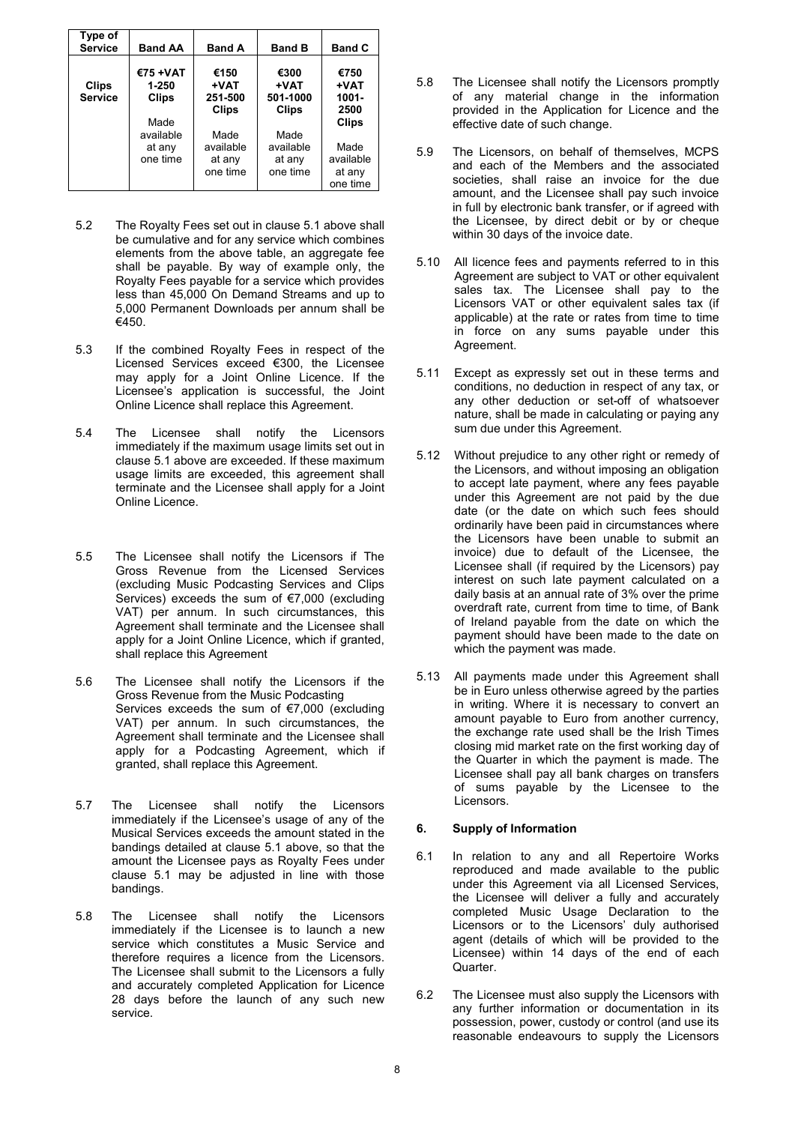| Type of<br><b>Service</b>      | <b>Band AA</b>                     | <b>Band A</b>                           | <b>Band B</b>                            | <b>Band C</b>                           |
|--------------------------------|------------------------------------|-----------------------------------------|------------------------------------------|-----------------------------------------|
| <b>Clips</b><br><b>Service</b> | €75 + VAT<br>1-250<br><b>Clips</b> | €150<br>+VAT<br>251-500<br><b>Clips</b> | €300<br>+VAT<br>501-1000<br><b>Clips</b> | €750<br>+VAT<br>$1001 -$<br>2500        |
|                                | Made<br>available                  |                                         | Made                                     | <b>Clips</b>                            |
|                                | at any<br>one time                 | Made<br>available<br>at any<br>one time | available<br>at any<br>one time          | Made<br>available<br>at any<br>one time |

- 5.2 The Royalty Fees set out in clause 5.1 above shall be cumulative and for any service which combines elements from the above table, an aggregate fee shall be payable. By way of example only, the Royalty Fees payable for a service which provides less than 45,000 On Demand Streams and up to 5,000 Permanent Downloads per annum shall be €450.
- 5.3 If the combined Royalty Fees in respect of the Licensed Services exceed €300, the Licensee may apply for a Joint Online Licence. If the Licensee's application is successful, the Joint Online Licence shall replace this Agreement.
- 5.4 The Licensee shall notify the Licensors immediately if the maximum usage limits set out in clause 5.1 above are exceeded. If these maximum usage limits are exceeded, this agreement shall terminate and the Licensee shall apply for a Joint Online Licence.
- 5.5 The Licensee shall notify the Licensors if The Gross Revenue from the Licensed Services (excluding Music Podcasting Services and Clips Services) exceeds the sum of €7,000 (excluding VAT) per annum. In such circumstances, this Agreement shall terminate and the Licensee shall apply for a Joint Online Licence, which if granted, shall replace this Agreement
- 5.6 The Licensee shall notify the Licensors if the Gross Revenue from the Music Podcasting Services exceeds the sum of €7,000 (excluding VAT) per annum. In such circumstances, the Agreement shall terminate and the Licensee shall apply for a Podcasting Agreement, which if granted, shall replace this Agreement.
- 5.7 The Licensee shall notify the Licensors immediately if the Licensee's usage of any of the Musical Services exceeds the amount stated in the bandings detailed at clause 5.1 above, so that the amount the Licensee pays as Royalty Fees under clause 5.1 may be adjusted in line with those bandings.
- 5.8 The Licensee shall notify the Licensors immediately if the Licensee is to launch a new service which constitutes a Music Service and therefore requires a licence from the Licensors. The Licensee shall submit to the Licensors a fully and accurately completed Application for Licence 28 days before the launch of any such new service.
- 5.8 The Licensee shall notify the Licensors promptly of any material change in the information provided in the Application for Licence and the effective date of such change.
- 5.9 The Licensors, on behalf of themselves, MCPS and each of the Members and the associated societies, shall raise an invoice for the due amount, and the Licensee shall pay such invoice in full by electronic bank transfer, or if agreed with the Licensee, by direct debit or by or cheque within 30 days of the invoice date.
- 5.10 All licence fees and payments referred to in this Agreement are subject to VAT or other equivalent sales tax. The Licensee shall pay to the Licensors VAT or other equivalent sales tax (if applicable) at the rate or rates from time to time in force on any sums payable under this Agreement.
- 5.11 Except as expressly set out in these terms and conditions, no deduction in respect of any tax, or any other deduction or set-off of whatsoever nature, shall be made in calculating or paying any sum due under this Agreement.
- 5.12 Without prejudice to any other right or remedy of the Licensors, and without imposing an obligation to accept late payment, where any fees payable under this Agreement are not paid by the due date (or the date on which such fees should ordinarily have been paid in circumstances where the Licensors have been unable to submit an invoice) due to default of the Licensee, the Licensee shall (if required by the Licensors) pay interest on such late payment calculated on a daily basis at an annual rate of 3% over the prime overdraft rate, current from time to time, of Bank of Ireland payable from the date on which the payment should have been made to the date on which the payment was made.
- 5.13 All payments made under this Agreement shall be in Euro unless otherwise agreed by the parties in writing. Where it is necessary to convert an amount payable to Euro from another currency, the exchange rate used shall be the Irish Times closing mid market rate on the first working day of the Quarter in which the payment is made. The Licensee shall pay all bank charges on transfers of sums payable by the Licensee to the Licensors.

### **6. Supply of Information**

- 6.1 In relation to any and all Repertoire Works reproduced and made available to the public under this Agreement via all Licensed Services, the Licensee will deliver a fully and accurately completed Music Usage Declaration to the Licensors or to the Licensors' duly authorised agent (details of which will be provided to the Licensee) within 14 days of the end of each Quarter.
- 6.2 The Licensee must also supply the Licensors with any further information or documentation in its possession, power, custody or control (and use its reasonable endeavours to supply the Licensors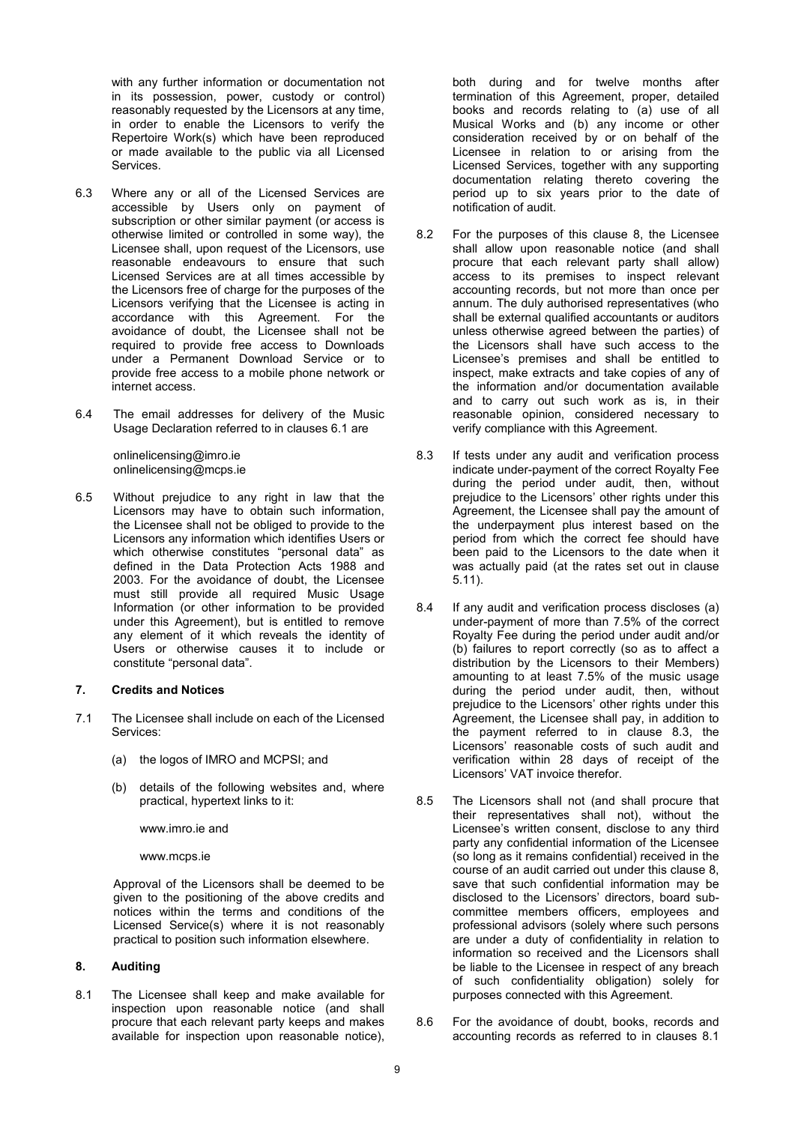with any further information or documentation not in its possession, power, custody or control) reasonably requested by the Licensors at any time, in order to enable the Licensors to verify the Repertoire Work(s) which have been reproduced or made available to the public via all Licensed Services.

- 6.3 Where any or all of the Licensed Services are accessible by Users only on payment of subscription or other similar payment (or access is otherwise limited or controlled in some way), the Licensee shall, upon request of the Licensors, use reasonable endeavours to ensure that such Licensed Services are at all times accessible by the Licensors free of charge for the purposes of the Licensors verifying that the Licensee is acting in accordance with this Agreement. For the avoidance of doubt, the Licensee shall not be required to provide free access to Downloads under a Permanent Download Service or to provide free access to a mobile phone network or internet access.
- 6.4 The email addresses for delivery of the Music Usage Declaration referred to in clauses 6.1 are

 onlinelicensing@imro.ie onlinelicensing@mcps.ie

6.5 Without prejudice to any right in law that the Licensors may have to obtain such information, the Licensee shall not be obliged to provide to the Licensors any information which identifies Users or which otherwise constitutes "personal data" as defined in the Data Protection Acts 1988 and 2003. For the avoidance of doubt, the Licensee must still provide all required Music Usage Information (or other information to be provided under this Agreement), but is entitled to remove any element of it which reveals the identity of Users or otherwise causes it to include or constitute "personal data".

#### **7. Credits and Notices**

- 7.1 The Licensee shall include on each of the Licensed Services:
	- (a) the logos of IMRO and MCPSI; and
	- (b) details of the following websites and, where practical, hypertext links to it:

www.imro.ie and

www.mcps.ie

 Approval of the Licensors shall be deemed to be given to the positioning of the above credits and notices within the terms and conditions of the Licensed Service(s) where it is not reasonably practical to position such information elsewhere.

### **8. Auditing**

8.1 The Licensee shall keep and make available for inspection upon reasonable notice (and shall procure that each relevant party keeps and makes available for inspection upon reasonable notice),

both during and for twelve months after termination of this Agreement, proper, detailed books and records relating to (a) use of all Musical Works and (b) any income or other consideration received by or on behalf of the Licensee in relation to or arising from the Licensed Services, together with any supporting documentation relating thereto covering the period up to six years prior to the date of notification of audit.

- 8.2 For the purposes of this clause 8, the Licensee shall allow upon reasonable notice (and shall procure that each relevant party shall allow) access to its premises to inspect relevant accounting records, but not more than once per annum. The duly authorised representatives (who shall be external qualified accountants or auditors unless otherwise agreed between the parties) of the Licensors shall have such access to the Licensee's premises and shall be entitled to inspect, make extracts and take copies of any of the information and/or documentation available and to carry out such work as is, in their reasonable opinion, considered necessary to verify compliance with this Agreement.
- 8.3 If tests under any audit and verification process indicate under-payment of the correct Royalty Fee during the period under audit, then, without prejudice to the Licensors' other rights under this Agreement, the Licensee shall pay the amount of the underpayment plus interest based on the period from which the correct fee should have been paid to the Licensors to the date when it was actually paid (at the rates set out in clause 5.11).
- 8.4 If any audit and verification process discloses (a) under-payment of more than 7.5% of the correct Royalty Fee during the period under audit and/or (b) failures to report correctly (so as to affect a distribution by the Licensors to their Members) amounting to at least 7.5% of the music usage during the period under audit, then, without prejudice to the Licensors' other rights under this Agreement, the Licensee shall pay, in addition to the payment referred to in clause 8.3, the Licensors' reasonable costs of such audit and verification within 28 days of receipt of the Licensors' VAT invoice therefor.
- 8.5 The Licensors shall not (and shall procure that their representatives shall not), without the Licensee's written consent, disclose to any third party any confidential information of the Licensee (so long as it remains confidential) received in the course of an audit carried out under this clause 8, save that such confidential information may be disclosed to the Licensors' directors, board subcommittee members officers, employees and professional advisors (solely where such persons are under a duty of confidentiality in relation to information so received and the Licensors shall be liable to the Licensee in respect of any breach of such confidentiality obligation) solely for purposes connected with this Agreement.
- 8.6 For the avoidance of doubt, books, records and accounting records as referred to in clauses 8.1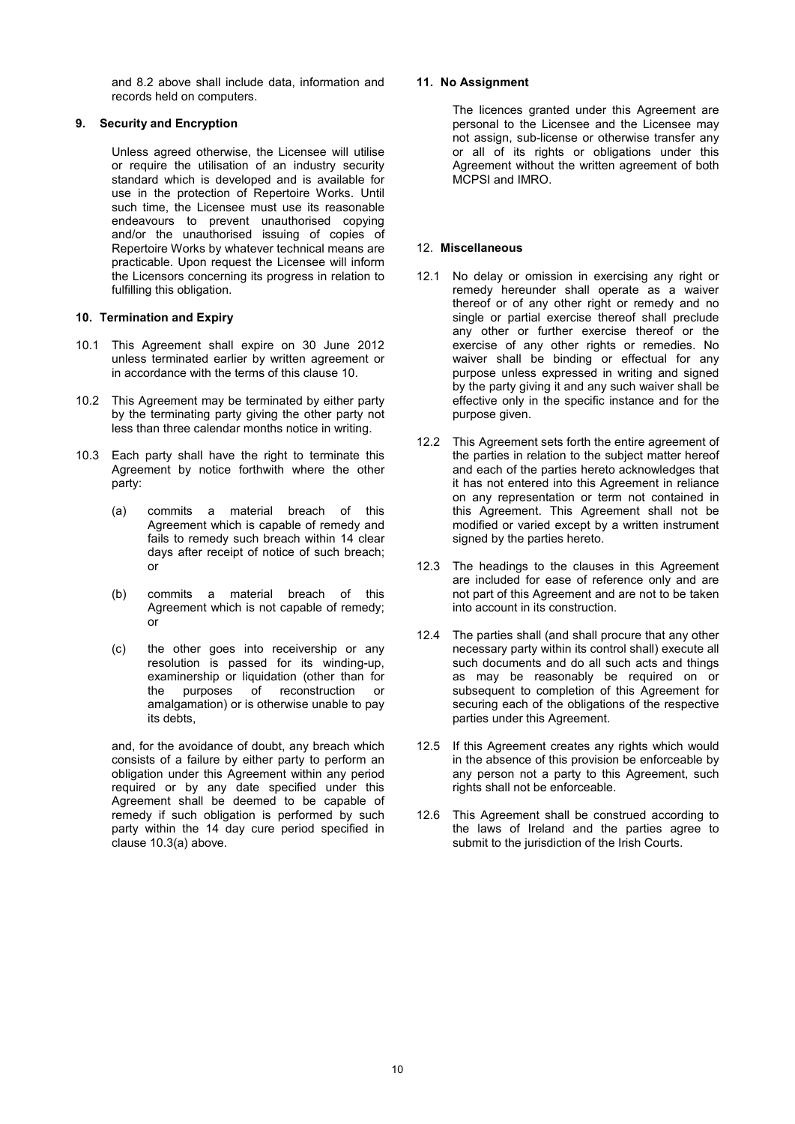and 8.2 above shall include data, information and records held on computers.

### **9. Security and Encryption**

 Unless agreed otherwise, the Licensee will utilise or require the utilisation of an industry security standard which is developed and is available for use in the protection of Repertoire Works. Until such time, the Licensee must use its reasonable endeavours to prevent unauthorised copying and/or the unauthorised issuing of copies of Repertoire Works by whatever technical means are practicable. Upon request the Licensee will inform the Licensors concerning its progress in relation to fulfilling this obligation.

### **10. Termination and Expiry**

- 10.1 This Agreement shall expire on 30 June 2012 unless terminated earlier by written agreement or in accordance with the terms of this clause 10.
- 10.2 This Agreement may be terminated by either party by the terminating party giving the other party not less than three calendar months notice in writing.
- 10.3 Each party shall have the right to terminate this Agreement by notice forthwith where the other party:
	- (a) commits a material breach of this Agreement which is capable of remedy and fails to remedy such breach within 14 clear days after receipt of notice of such breach; or
	- (b) commits a material breach of this Agreement which is not capable of remedy; or
	- (c) the other goes into receivership or any resolution is passed for its winding-up, examinership or liquidation (other than for the purposes of reconstruction or amalgamation) or is otherwise unable to pay its debts,

and, for the avoidance of doubt, any breach which consists of a failure by either party to perform an obligation under this Agreement within any period required or by any date specified under this Agreement shall be deemed to be capable of remedy if such obligation is performed by such party within the 14 day cure period specified in clause 10.3(a) above.

### **11. No Assignment**

 The licences granted under this Agreement are personal to the Licensee and the Licensee may not assign, sub-license or otherwise transfer any or all of its rights or obligations under this Agreement without the written agreement of both MCPSI and IMRO.

### 12. **Miscellaneous**

- 12.1 No delay or omission in exercising any right or remedy hereunder shall operate as a waiver thereof or of any other right or remedy and no single or partial exercise thereof shall preclude any other or further exercise thereof or the exercise of any other rights or remedies. No waiver shall be binding or effectual for any purpose unless expressed in writing and signed by the party giving it and any such waiver shall be effective only in the specific instance and for the purpose given.
- 12.2 This Agreement sets forth the entire agreement of the parties in relation to the subject matter hereof and each of the parties hereto acknowledges that it has not entered into this Agreement in reliance on any representation or term not contained in this Agreement. This Agreement shall not be modified or varied except by a written instrument signed by the parties hereto.
- 12.3 The headings to the clauses in this Agreement are included for ease of reference only and are not part of this Agreement and are not to be taken into account in its construction.
- 12.4 The parties shall (and shall procure that any other necessary party within its control shall) execute all such documents and do all such acts and things as may be reasonably be required on or subsequent to completion of this Agreement for securing each of the obligations of the respective parties under this Agreement.
- 12.5 If this Agreement creates any rights which would in the absence of this provision be enforceable by any person not a party to this Agreement, such rights shall not be enforceable.
- 12.6 This Agreement shall be construed according to the laws of Ireland and the parties agree to submit to the jurisdiction of the Irish Courts.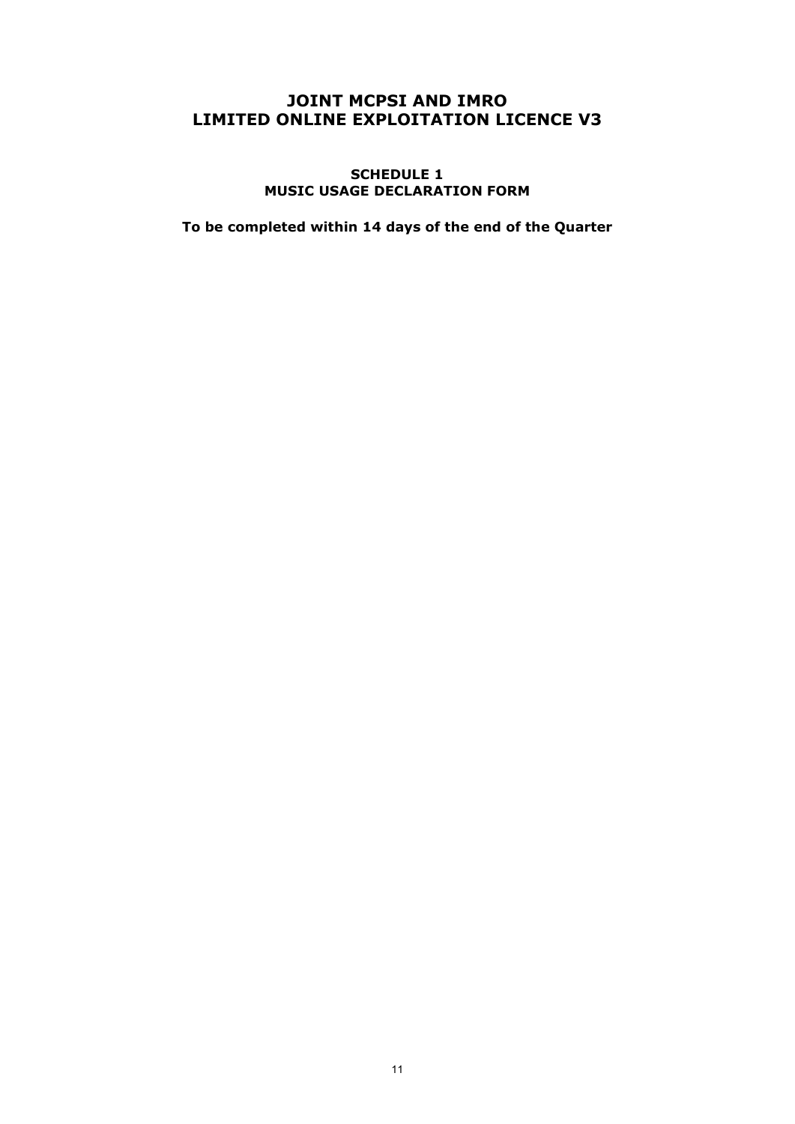# **JOINT MCPSI AND IMRO LIMITED ONLINE EXPLOITATION LICENCE V3**

**SCHEDULE 1 MUSIC USAGE DECLARATION FORM** 

**To be completed within 14 days of the end of the Quarter**